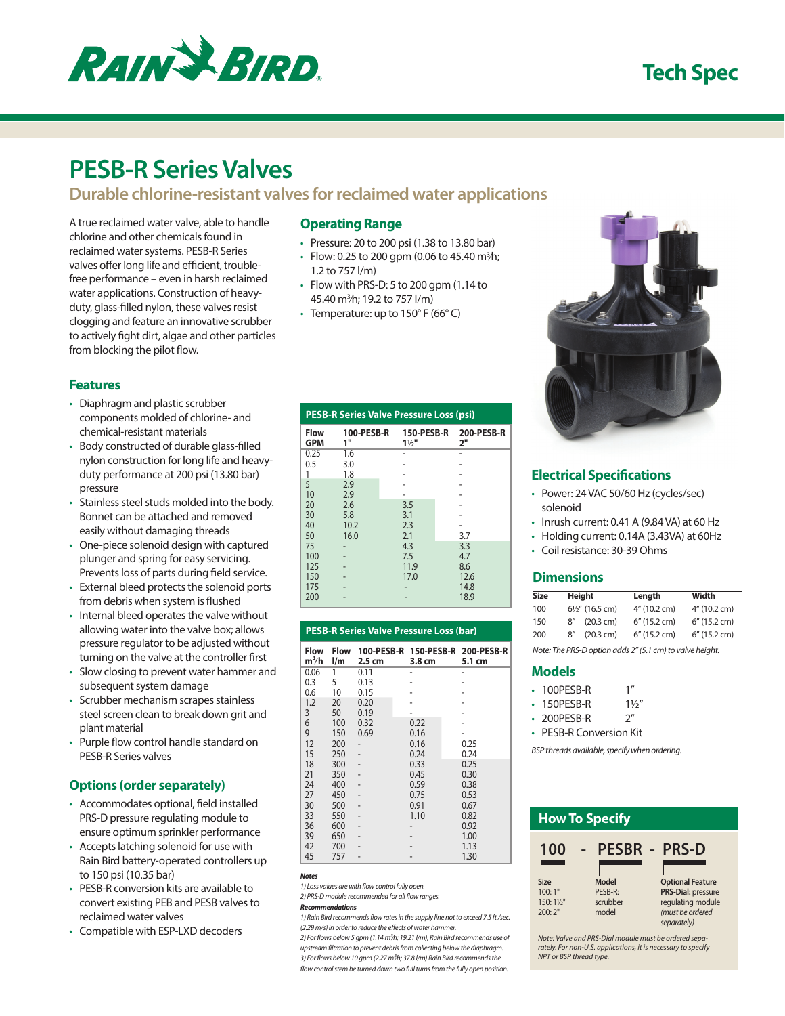

# **Tech Spec**

# **PESB-R Series Valves**

## **Durable chlorine-resistant valves for reclaimed water applications**

A true reclaimed water valve, able to handle chlorine and other chemicals found in reclaimed water systems. PESB-R Series valves offer long life and efficient, troublefree performance – even in harsh reclaimed water applications. Construction of heavyduty, glass-filled nylon, these valves resist clogging and feature an innovative scrubber to actively fight dirt, algae and other particles from blocking the pilot flow.

## **Features**

- Diaphragm and plastic scrubber components molded of chlorine- and chemical-resistant materials
- Body constructed of durable glass-filled nylon construction for long life and heavyduty performance at 200 psi (13.80 bar) pressure
- Stainless steel studs molded into the body. Bonnet can be attached and removed easily without damaging threads
- One-piece solenoid design with captured plunger and spring for easy servicing. Prevents loss of parts during field service.
- External bleed protects the solenoid ports from debris when system is flushed
- Internal bleed operates the valve without allowing water into the valve box; allows pressure regulator to be adjusted without turning on the valve at the controller first
- Slow closing to prevent water hammer and subsequent system damage
- Scrubber mechanism scrapes stainless steel screen clean to break down grit and plant material
- Purple flow control handle standard on PESB-R Series valves

## **Options (order separately)**

- Accommodates optional, field installed PRS-D pressure regulating module to ensure optimum sprinkler performance
- Accepts latching solenoid for use with Rain Bird battery-operated controllers up to 150 psi (10.35 bar)
- PESB-R conversion kits are available to convert existing PEB and PESB valves to reclaimed water valves
- Compatible with ESP-LXD decoders

### **Operating Range**

- Pressure: 20 to 200 psi (1.38 to 13.80 bar)
- Flow: 0.25 to 200 gpm (0.06 to 45.40 m ${}^{3h}$ ); 1.2 to 757 l/m)
- Flow with PRS-D: 5 to 200 gpm (1.14 to 45.40 m3 ⁄h; 19.2 to 757 l/m)
- Temperature: up to  $150^{\circ}$  F (66 $^{\circ}$  C)

| <b>PESB-R Series Valve Pressure Loss (psi)</b> |                  |                                     |                         |  |  |
|------------------------------------------------|------------------|-------------------------------------|-------------------------|--|--|
| Flow<br><b>GPM</b>                             | 100-PESB-R<br>1" | <b>150-PESB-R</b><br>$1\frac{1}{2}$ | <b>200-PESB-R</b><br>2" |  |  |
| 0.25                                           | 1.6              |                                     |                         |  |  |
| 0.5                                            | 3.0              |                                     |                         |  |  |
| 1                                              | 1.8              |                                     |                         |  |  |
| 5                                              | 2.9              |                                     |                         |  |  |
| 10                                             | 2.9              |                                     |                         |  |  |
| 20                                             | 2.6              | 3.5                                 |                         |  |  |
| 30                                             | 5.8              | 3.1                                 |                         |  |  |
| 40                                             | 10.2             | 2.3                                 |                         |  |  |
| 50                                             | 16.0             | 2.1                                 | 3.7                     |  |  |
| 75                                             |                  | 4.3                                 | 3.3                     |  |  |
| 100                                            |                  | 7.5                                 | 4.7                     |  |  |
| 125                                            |                  | 11.9                                | 8.6                     |  |  |
| 150                                            |                  | 17.0                                | 12.6                    |  |  |
| 175                                            |                  |                                     | 14.8                    |  |  |
| 200                                            |                  |                                     | 18.9                    |  |  |

|                        | <b>PESB-R Series Valve Pressure Loss (bar)</b> |                  |                                            |        |  |
|------------------------|------------------------------------------------|------------------|--------------------------------------------|--------|--|
| <b>Flow</b><br>$m^3/h$ | Flow<br>$\mathsf{I}/\mathsf{m}$                | $2.5 \text{ cm}$ | 100-PESB-R 150-PESB-R 200-PESB-R<br>3.8 cm | 5.1 cm |  |
| 0.06                   | 1                                              | 0.11             |                                            |        |  |
| 0.3                    | 5                                              | 0.13             |                                            |        |  |
| 0.6                    | 10                                             | 0.15             |                                            |        |  |
| 1.2                    | 20                                             | 0.20             |                                            |        |  |
| 3                      | 50                                             | 0.19             |                                            |        |  |
| 6                      | 100                                            | 0.32             | 0.22                                       |        |  |
| 9                      | 150                                            | 0.69             | 0.16                                       |        |  |
| 12                     | 200                                            |                  | 0.16                                       | 0.25   |  |
| 15                     | 250                                            |                  | 0.24                                       | 0.24   |  |
| 18                     | 300                                            |                  | 0.33                                       | 0.25   |  |
| 21                     | 350                                            |                  | 0.45                                       | 0.30   |  |
| 24                     | 400                                            |                  | 0.59                                       | 0.38   |  |
| 27                     | 450                                            |                  | 0.75                                       | 0.53   |  |
| 30                     | 500                                            |                  | 0.91                                       | 0.67   |  |
| 33                     | 550                                            |                  | 1.10                                       | 0.82   |  |
| 36                     | 600                                            |                  |                                            | 0.92   |  |
| 39                     | 650                                            |                  |                                            | 1.00   |  |
| 42                     | 700                                            |                  |                                            | 1.13   |  |
| 45                     | 757                                            |                  |                                            | 1.30   |  |

### *Notes*

*1) Loss values are with flow control fully open.*

#### *2) PRS-D module recommended for all flow ranges. Recommendations*

*1) Rain Bird recommends flow rates in the supply line not to exceed 7.5 ft./sec.* 

*(2.29 m/s) in order to reduce the effects of water hammer. 2) For flows below 5 gpm (1.14 m3⁄h; 19.21 l/m), Rain Bird recommends use of upstream filtration to prevent debris from collecting below the diaphragm. 3) For flows below 10 gpm (2.27 m3⁄h; 37.8 l/m) Rain Bird recommends the flow control stem be turned down two full turns from the fully open position.*



## **Electrical Specifications**

- Power: 24 VAC 50/60 Hz (cycles/sec) solenoid
- Inrush current: 0.41 A (9.84 VA) at 60 Hz
- Holding current: 0.14A (3.43VA) at 60Hz
- Coil resistance: 30-39 Ohms

## **Dimensions**

| <b>Size</b> |     | Height                     | Length          | Width        |
|-------------|-----|----------------------------|-----------------|--------------|
| 100         |     | $6\frac{1}{2}$ " (16.5 cm) | 4" (10.2 cm)    | 4" (10.2 cm) |
| 150         | 8'' | (20.3 cm)                  | $6''$ (15.2 cm) | 6" (15.2 cm) |
| 200         | R'' | (20.3 cm)                  | 6" (15.2 cm)    | 6" (15.2 cm) |

*Note: The PRS-D option adds 2" (5.1 cm) to valve height.*

## **Models**

- 100PESB-R 1" • 150PESB-R 11/2"
- 200PESB-R 2"
- PESB-R Conversion Kit

*BSP threads available, specify when ordering.*

| <b>How To Specify</b> |          |                                 |  |  |
|-----------------------|----------|---------------------------------|--|--|
| 100                   |          | <b>PESBR - PRS-D</b>            |  |  |
| <b>Size</b>           | Model    | <b>Optional Feature</b>         |  |  |
| 100:1"                | PESB-R:  | <b>PRS-Dial: pressure</b>       |  |  |
| 150: 11/2"            | scrubber | regulating module               |  |  |
| 200:2"                | model    | (must be ordered<br>separately) |  |  |

*Note: Valve and PRS-Dial module must be ordered sepa-rately. For non-U.S. applications, it is necessary to specify NPT or BSP thread type.*